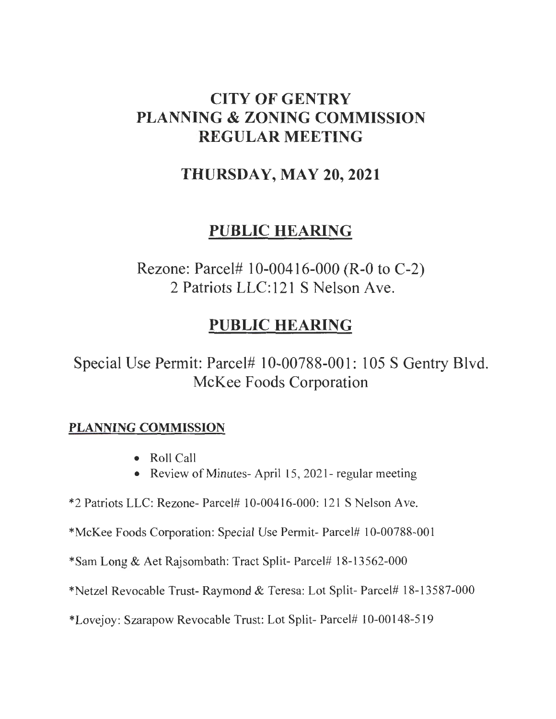## CITY OF GENTRY PLANNING & ZONING COMMISSION REGULAR MEETING

## THURSDAY, MAY 20,2021

## PUBLIC HEARING

Rezone: Parcel# 10-00416-000 (R-0 to C-2) 2 Patriots LLC:121 S Nelson Ave.

## PUBLIC HEARING

Special Use Permit: Parcel# 10-00788-001: 105 S Gentry Blvd. McKee Foods Corporation

## PLANNING COMMISSION

- Roll Call
- Review of Minutes- April 15, 2021- regular meeting

 $*2$  Patriots LLC: Rezone- Parcel# 10-00416-000: 121 S Nelson Ave.

\*McKee Foods Corporation: Special Use Permit- Parcel# 10-00788-001

\*Sam Long & Aet Rajsombath: Tract Split- Parcel# 18-13562-000

\*Netzel Revocable Trust- Raymond & Teresa: Lot Split- Parcel# 18-13587-000

\*Lovejoy: Szarapow Revocable Trust: Lot Split- Parcel# 10-00148-519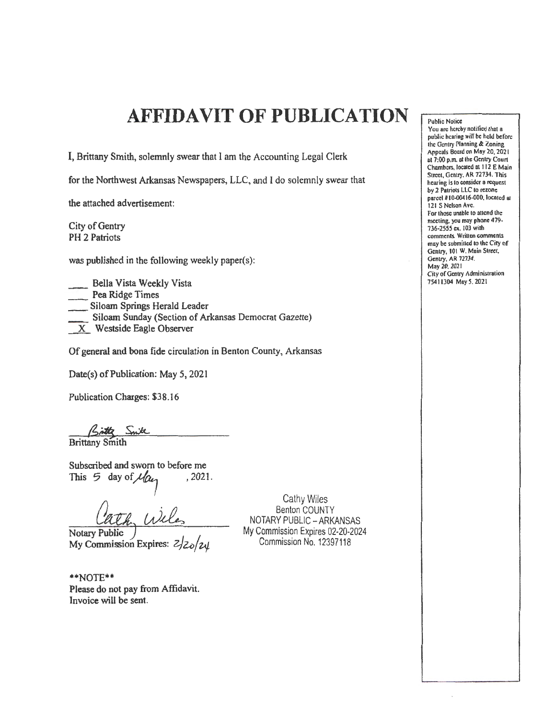## **AFFIDAVIT OF PUBLICATION**

I, Brittany Smith, solemnly swear that I am the Accounting Legal Clerk

for the Northwest Arkansas Newspapers, LLC, and I do solemnly swear that

the attached advertisement:

City of Gentry PH 2 Patriots

was published in the foliowing weekly paper(s):

\_\_ Bella Vista Weekly Vista Pea Ridge Times Siloam Springs Herald Leader \_ Siloam Sunday (Section of Arkansas Democrat Gazette)  $X$  Westside Eagle Observer

Of general and bona fide circulation in Benton County, Arkansas

Date(s) of Publication: May 5, 2021

Publication Charges: \$38.16

Brittany Smith

Subscribed and sworn to before me<br>This  $\frac{5}{7}$  day of  $\mathcal{U}_{0}$ , 2021. This  $5$  day of  $\mathcal{U}_{\alpha}$ 

Notary Public My Commission Expires: *<i>z*  $\frac{2}{2}$ <sub>z</sub>/<sub>z</sub>*y* 

\*\*NOTE\*\* Please do not pay from Affidavit. Invoice will be sent.

Cathy Wiles Benton COUNTY NOTARY PUBLIC- ARKANSAS My Commission Expires 02-20·2024 Commission No. 12397118

**Public Notice** 

You are hereby notified that a public hearing will be held before the Gentry ['Ianning *lk* Zoning Appeals Board on May 20, 2021 ut 7:00 p.m. at the Gentry Court Chambers, located at 112 E Main Street, Gentry. AR 72734. This hearing is to consider a request by 2 Patriots LLC to rezone parcel #10-00416-000, located at 121 S Nelson Ave. For those unable to attend the meeting, you may phone 479· 736-2555 ex. 103 with comments. Written comments may be submitted to the Ciry or Gentry, 101 W. Main Street, Gentry, AR 72734. May 20, 2021 City of Gentry Administration 75411304 May 5. 2021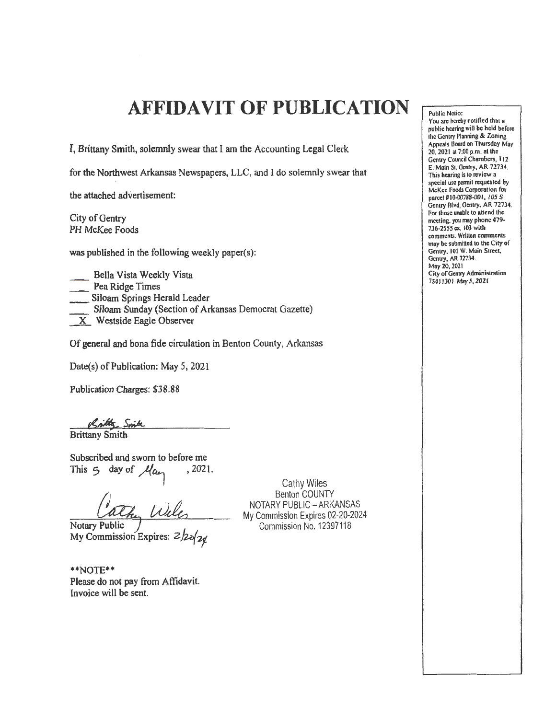## **AFFIDAVIT OF PUBLICATION**

I, Brittany Smith, solemnly swear that I am the Accounting Legal Clerk

for the Northwest Arkansas Newspapers, LLC, and I do solemnly swear that

the attached advertisement:

City of Gentry PH McKee Foods

was published in the following weekly paper(s):

Bella Vista Weekly Vista \_ Pea Ridge Times \_\_ Siloam Springs Herald Leader Siloam Sunday (Section of Arkansas Democrat Gazette) \_x\_ Westside Eagle Observer

Of general and bona fide circulation in Benton County, Arkansas

Date(s) of Publication: May 5, 2021

Publication Charges: \$38.88

Brittany Smith

Subscribed and sworn to before me This 5 day of  $\mu_{\alpha}$ , 2021.

Notary Public My Commission Expires:  $2/20/20$ 

\*\*NOTE\*\* Please do not pay from Affidavit. Invoice will be sent.

Cathy Wiles Benton COUNTY NOTARY PUBLIC- ARKANSAS My Commission Expires 02-20-2024 Commission No. 12397118

Public Notice You are hereby notified that a public hearing will be held before the Gentry Planning & Zoning Appeals Board on Thursday May 20. 2021 at 7:00 p.m. at the Gentry Council Chambers, 112 E. Main St. Gentry, AR 72734. This hearing is to review a special use permit requested by McKee Foods Corporation for parcel #10-00788-001, 105 S Gentry Blvd, Gentry. AR 72734. For those unable to attend the meeting. you may phone 479- 736·2555 ex. 103 with comments. Written comments may be submilled to the City of Gentry. 101 W. Main Street, Gentry, AR 72734. Moy20, 2021 City of Gentry Administration 75411301 May *5.* 2021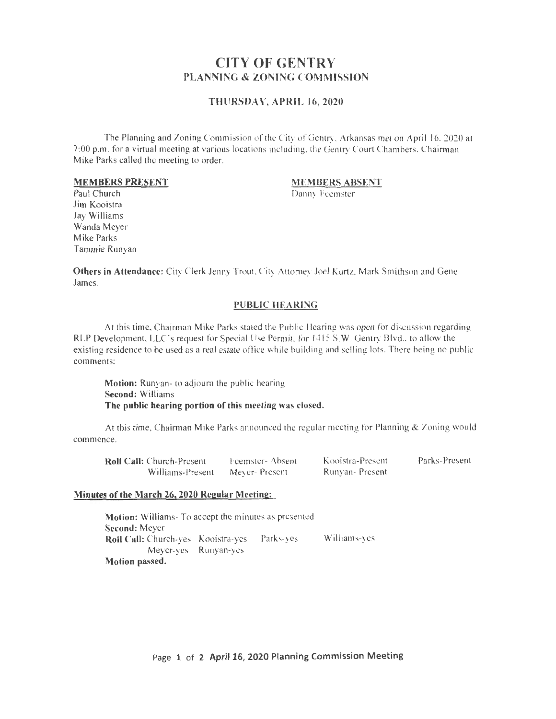### CITY OF GENTRY PLANNING & ZONING COMMISSION

#### THURSDAY, APRIL 16,2020

The Planning and Zoning Commission of the City of Gentry, Arkansas met on April 16.2020 at 7:00 p.m. for a virtual meeting at various locations including, the Gentry Court Chambers. Chairman Mike Parks called the meeting to order.

#### MEMBERS PRESENT

### MEMBERS ABSENT

Danny feemster

Paul Church Jim Kooistra Jay Williams Wanda Meyer Mike Parks Tammie Runyan

Others in Attendance: City Clerk Jenny Trout. City Attomey Joel Kurtz, Mark Smithson and Gene James.

#### PUBLIC HEARING

At this time, Chairman Mike Parks stated the Public llearing was open for discussion regarding RLP Development, LLC's request for Special Use Permit. for 1415 S.W. Gentry Blvd., to allow the existing residence to be used as a real estate office while building and selling lots. There being no public comments:

Motion: Runyan- to adjoum the public hearing Second: Williams The public hearing portion of this meeting was closed.

At this time, Chainnan Mike Parks announced the regular meeting for Planning & Zoning would commence.

| <b>Roll Call:</b> Church-Present | Feemster-Absent | Kooistra-Present | Parks-Present |
|----------------------------------|-----------------|------------------|---------------|
| Williams-Present                 | Mever-Present   | Runyan-Present   |               |

#### Minutes of the March 26, 2020 Regular Meeting:

Motion: Williams- To accept the minutes as presented Second: Meyer Roll Call: Church-yes Kooistra-yes Parks-yes Williams-yes Meyer-yes Runyan-ycs Motion passed.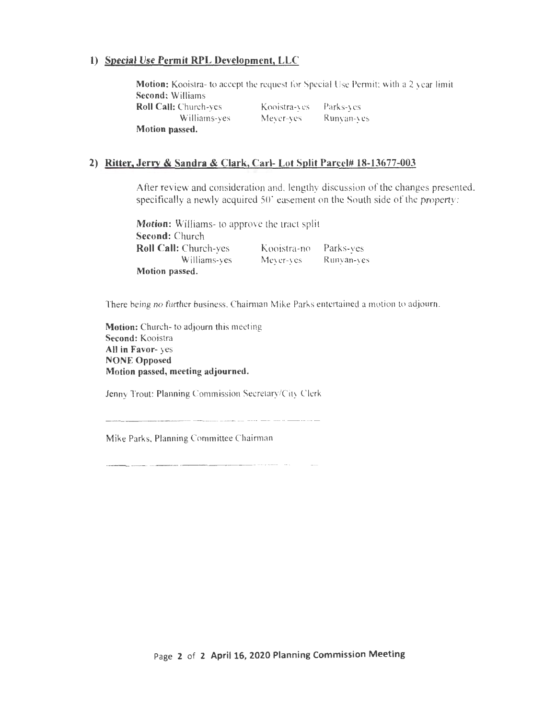### **l) Special Use Permit RPL Development, LLC**

**Motion:** Kooistra- to accept the request for Special Use Permit; with a 2 year limit **Second:** Williams **Roll Call:** Church-yes Williams-yes **Motion passed.**  Kooistra-yes Meyer-yes Parks-yes Runyan-yes

#### **2) Ritter, Jerry & Sandra & Clark, Carl- Lot Split Parcel# 18-13677-003**

After review and consideration and. lengthy discussion of the changes presented, specifically a newly acquired 50° easement on the South side of the property:

**Motion:** Williams- to approve the tract split **Second:** Church **Roll Call:** Church-yes Kooistra-no Parks-yes Williams-yes **Motion passed.**  Meyer-yes Runyan-yes

There being no further business. Chairman Mike Parks entertained a motion to adjourn.

**Motion:** Church- to adjourn this meeting **Second:** Kooistra **All in Favor-** yes **NONE Opposed Motion passed, meeting adjourned.** 

Jenny Trout: Planning Commission Secretary/City Clerk

Mike Parks, Planning Committee Chairman

Page **2 of 2 April16, 2020 Planning Commission Meeting**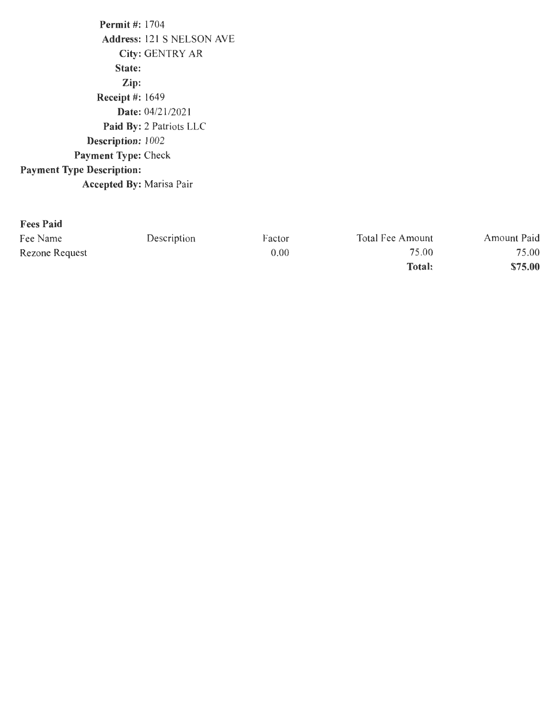Permit #: 1704 Address: 121 S NELSON AVE City: GENTRY AR State: Zip: Receipt #: 1649 Date: 04/21/2021 Paid By: 2 Patriots LLC Description: 1002 Payment Type: Check Payment Type Description: Accepted By: Marisa Pair

#### Fees Paid

| Fee Name       | Description | Factor | Total Fee Amount | Amount Paid |
|----------------|-------------|--------|------------------|-------------|
| Rezone Request |             | 0.00   | 75.00            | 75.00       |
|                |             |        | <b>Total:</b>    | \$75.00     |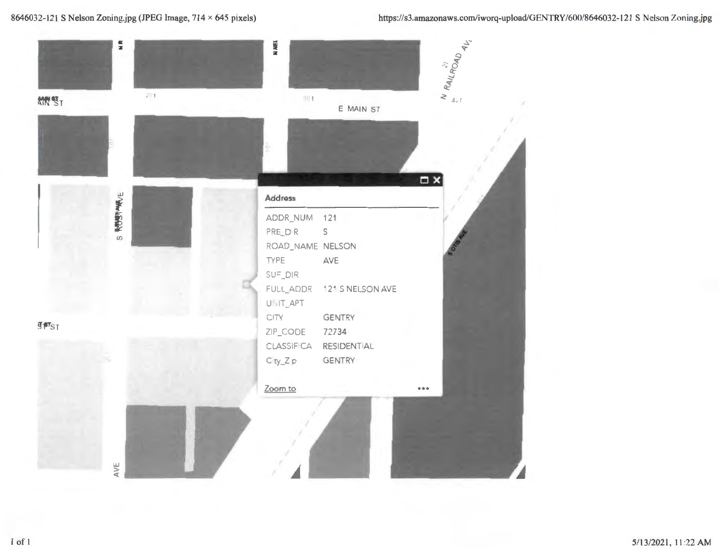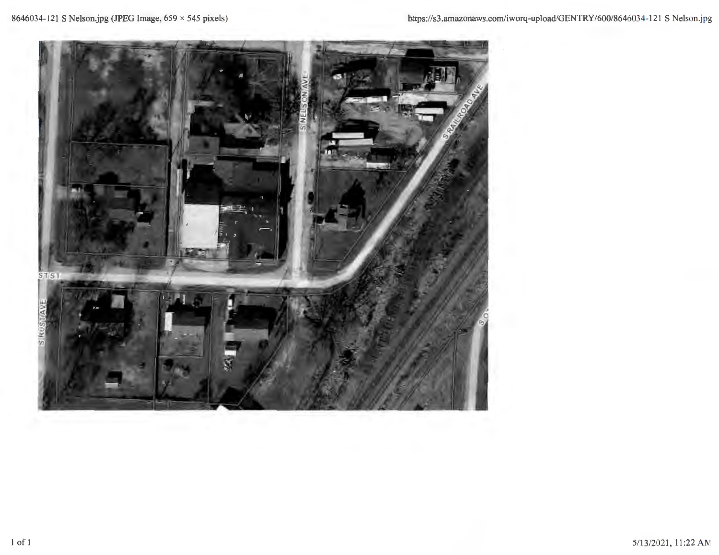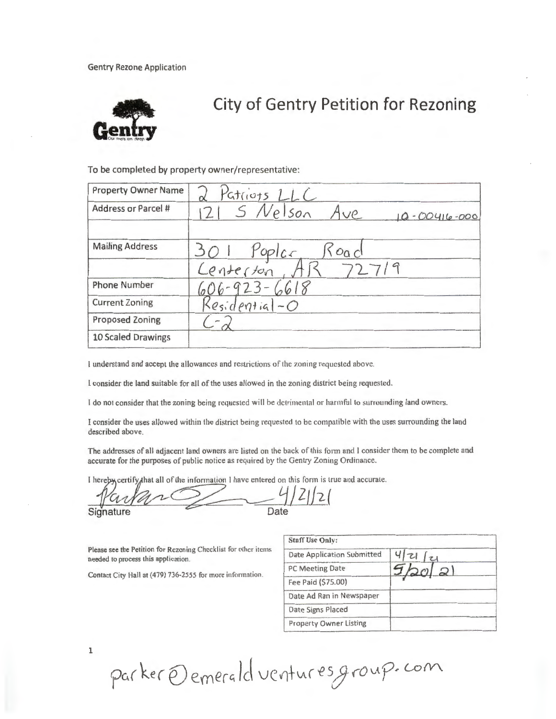**Gentry Rezone Application** 



# **City of Gentry Petition for Rezoning**

To be completed by property owner/representative:

| <b>Property Owner Name</b> | 2 Patriots LLC                           |
|----------------------------|------------------------------------------|
| Address or Parcel #        | $121$ S Nelson Ave<br>$10 - 00416 - 000$ |
| <b>Mailing Address</b>     | 301 Poplar Road<br>Lenterton, AR 72719   |
|                            |                                          |
| <b>Phone Number</b>        | $606 - 923 - 6618$<br>Residential-O      |
| <b>Current Zoning</b>      |                                          |
| <b>Proposed Zoning</b>     |                                          |
| 10 Scaled Drawings         |                                          |

I understand and accept the allowances and restrictions of the zoning requested above.

I consider the land suitable for all of the uses allowed in the zoning district being requested.

I do not consider that the zoning being requested will be detrimental or harmful to surrounding land owners.

I consider the uses allowed within the district being requested to be compatible with the uses surrounding the land described above.

The addresses of all adjacent land owners are listed on the back of this form and I consider them to be complete and accurate for the purposes of public notice as required by the Gentry Zoning Ordinance.

I hereby certify that all of the information I have entered on this form is true and accurate.

Signature

Please see the Petition for Rezoning Checklist for other items needed to process this application.

Contact City Hall at (479) 736-2555 for more information.

| <b>Staff Use Only:</b>            |    |
|-----------------------------------|----|
| <b>Date Application Submitted</b> |    |
| PC Meeting Date                   | 20 |
| Fee Paid (\$75.00)                |    |
| Date Ad Ran in Newspaper          |    |
| Date Signs Placed                 |    |
| <b>Property Owner Listing</b>     |    |

parker @ emerald ventures group. com

 $\mathbf 1$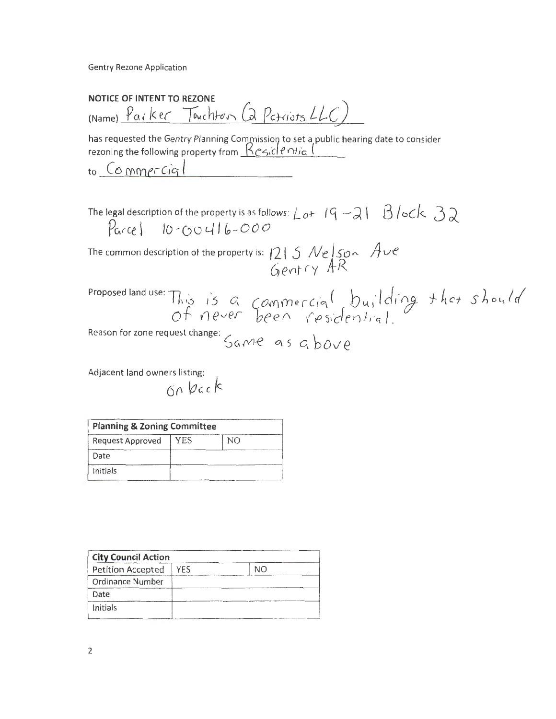**Gentry Rezone Application** 

NOTICE OF INTENT TO REZONE (Name) Parker Touchton (a Patriots LLC)

has requested the Gentry Planning Commission to set a public hearing date to consider rezoning the following property from Residential

to Commercial

The legal description of the property is as follows:  $\lfloor 2 + 19 - 21 \rfloor$   $\lfloor 3 / 2 \rfloor$  $P_{\text{arcel}}$  10-00416-000

The common description of the property is:  $1215$  Nelson Ave<br>Gentry AR

Proposed land use: This is a commercial building that should

Reason for zone request change: Same as above

Adjacent land owners listing:

| <b>Planning &amp; Zoning Committee</b> |     |    |
|----------------------------------------|-----|----|
| Request Approved                       | YES | NΟ |
| Date                                   |     |    |
| Initials                               |     |    |

| <b>City Council Action</b> |     |    |
|----------------------------|-----|----|
| Petition Accepted          | YFS | NΟ |
| Ordinance Number           |     |    |
| Date                       |     |    |
| Initials                   |     |    |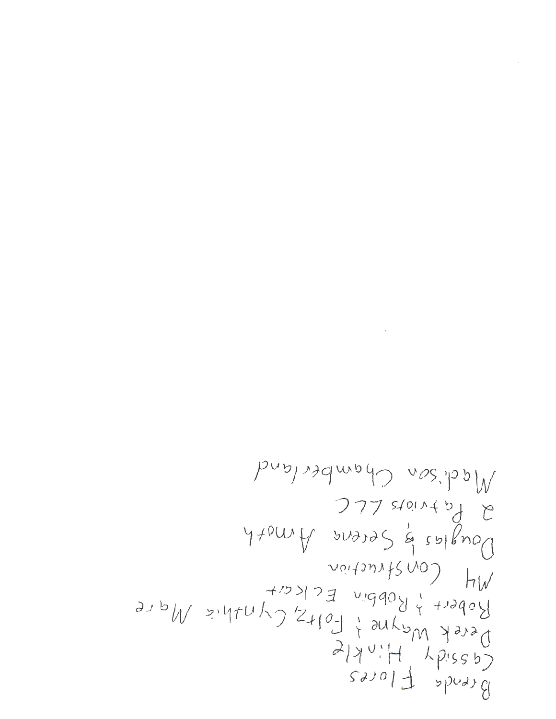$\label{eq:2.1} \frac{1}{\sqrt{2}}\left(\frac{1}{\sqrt{2}}\right)^{2} \left(\frac{1}{\sqrt{2}}\right)^{2} \left(\frac{1}{\sqrt{2}}\right)^{2} \left(\frac{1}{\sqrt{2}}\right)^{2} \left(\frac{1}{\sqrt{2}}\right)^{2} \left(\frac{1}{\sqrt{2}}\right)^{2} \left(\frac{1}{\sqrt{2}}\right)^{2} \left(\frac{1}{\sqrt{2}}\right)^{2} \left(\frac{1}{\sqrt{2}}\right)^{2} \left(\frac{1}{\sqrt{2}}\right)^{2} \left(\frac{1}{\sqrt{2}}\right)^{2} \left(\$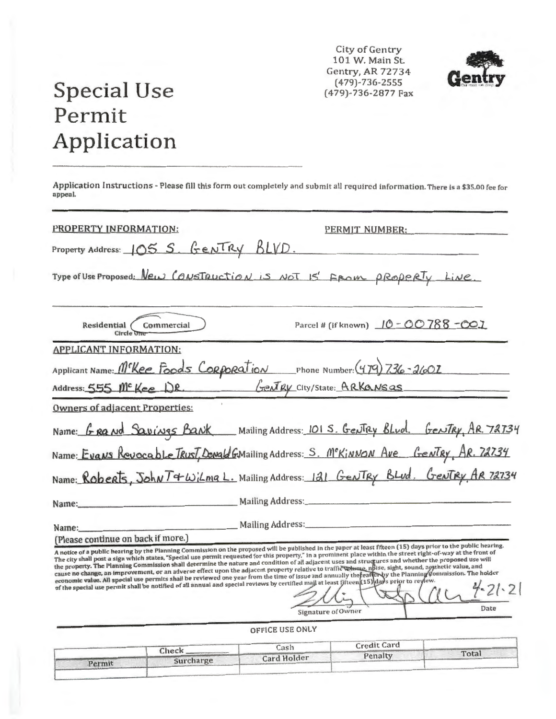City of Gentry 101 W. Main St. Gentry, AR 72734  $(479) - 736 - 2555$ (479)-736-2877 Fax



# **Special Use** Permit Application

Permit

Application Instructions - Please fill this form out completely and submit all required information. There is a \$35.00 fee for appeal.

| PROPERTY INFORMATION:                                                                                                                       | PERMIT NUMBER:                                                                                                                                                                                                                                                                                                                                                                                                                                                                                                                                                                                                                                                                                                                                                                                                                                               |
|---------------------------------------------------------------------------------------------------------------------------------------------|--------------------------------------------------------------------------------------------------------------------------------------------------------------------------------------------------------------------------------------------------------------------------------------------------------------------------------------------------------------------------------------------------------------------------------------------------------------------------------------------------------------------------------------------------------------------------------------------------------------------------------------------------------------------------------------------------------------------------------------------------------------------------------------------------------------------------------------------------------------|
| Property Address: 105 S. Gentry BLVD.                                                                                                       |                                                                                                                                                                                                                                                                                                                                                                                                                                                                                                                                                                                                                                                                                                                                                                                                                                                              |
|                                                                                                                                             | Type of Use Proposed: New CONSTRUCTION is NOT 15' FROM PROPORTY LINE.                                                                                                                                                                                                                                                                                                                                                                                                                                                                                                                                                                                                                                                                                                                                                                                        |
| Residential <i>Commercial</i><br>Circle O                                                                                                   | Parcel # (if known) 10 - 00 788 - 001                                                                                                                                                                                                                                                                                                                                                                                                                                                                                                                                                                                                                                                                                                                                                                                                                        |
| <b>APPLICANT INFORMATION:</b>                                                                                                               |                                                                                                                                                                                                                                                                                                                                                                                                                                                                                                                                                                                                                                                                                                                                                                                                                                                              |
|                                                                                                                                             | Applicant Name: M <sup>r</sup> Kee Foods Corporation Phone Number: (479) 736-2602                                                                                                                                                                                                                                                                                                                                                                                                                                                                                                                                                                                                                                                                                                                                                                            |
|                                                                                                                                             | Address: 555 Me Kee DR. Gently City/State: ARKansas                                                                                                                                                                                                                                                                                                                                                                                                                                                                                                                                                                                                                                                                                                                                                                                                          |
| <b>Owners of adjacent Properties:</b>                                                                                                       |                                                                                                                                                                                                                                                                                                                                                                                                                                                                                                                                                                                                                                                                                                                                                                                                                                                              |
|                                                                                                                                             | Name: GRAND SQUINGS BANK Mailing Address: 101 S. Gentley Blud. Gentley, AR. 72734                                                                                                                                                                                                                                                                                                                                                                                                                                                                                                                                                                                                                                                                                                                                                                            |
|                                                                                                                                             | Name: Evans Revocable Trust, Donald GMailing Address: S. McKinNON Ave Gentry, AR. 72734                                                                                                                                                                                                                                                                                                                                                                                                                                                                                                                                                                                                                                                                                                                                                                      |
|                                                                                                                                             | Name: Roberts, John T4 Wilmg L. Mailing Address: 121 Gentry Blud. Gentry AR 72734                                                                                                                                                                                                                                                                                                                                                                                                                                                                                                                                                                                                                                                                                                                                                                            |
|                                                                                                                                             |                                                                                                                                                                                                                                                                                                                                                                                                                                                                                                                                                                                                                                                                                                                                                                                                                                                              |
|                                                                                                                                             | Name: Mailing Address: Mailing Address:                                                                                                                                                                                                                                                                                                                                                                                                                                                                                                                                                                                                                                                                                                                                                                                                                      |
| (Please continue on back if more.)                                                                                                          |                                                                                                                                                                                                                                                                                                                                                                                                                                                                                                                                                                                                                                                                                                                                                                                                                                                              |
| of the special use permit shall be notified of all annual and special reviews by certified maji at least fifteen (15) days prior to review. | A notice of a public hearing by the Pianning Commission on the proposed will be published in the paper at least fifteen (15) days prior to the public hearing.<br>The city shall post a sign which states, "Special use permit requested for this property," in a prominent place within the street right-of-way at the front of<br>the property. The Planning Commission shall determine the nature and condition of all adjacent uses and structures and whether the proposed use will<br>cause no change, an improvement, or an adverse effect upon the adjacent property relative to traffic whune, npise, sight, sound, agathetic value, and<br>economic value. All special use permits shall be reviewed one year from the time of issue and annually the earler by the Planning Commission. The holder<br>$4 - 21 - 21$<br>Date<br>Signature of Owner |
|                                                                                                                                             | OFFICE USE ONLY                                                                                                                                                                                                                                                                                                                                                                                                                                                                                                                                                                                                                                                                                                                                                                                                                                              |
|                                                                                                                                             | $C = -11$ $C$ and                                                                                                                                                                                                                                                                                                                                                                                                                                                                                                                                                                                                                                                                                                                                                                                                                                            |

Cash Credit Card Check Total Penalty **Card Holder** Surcharge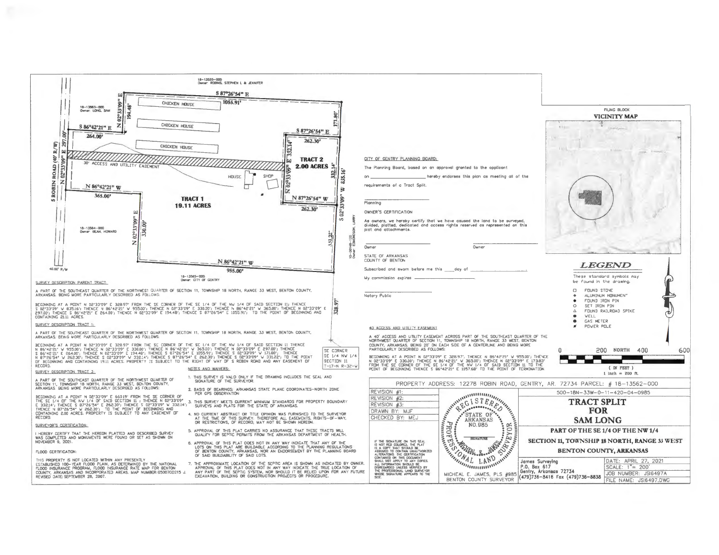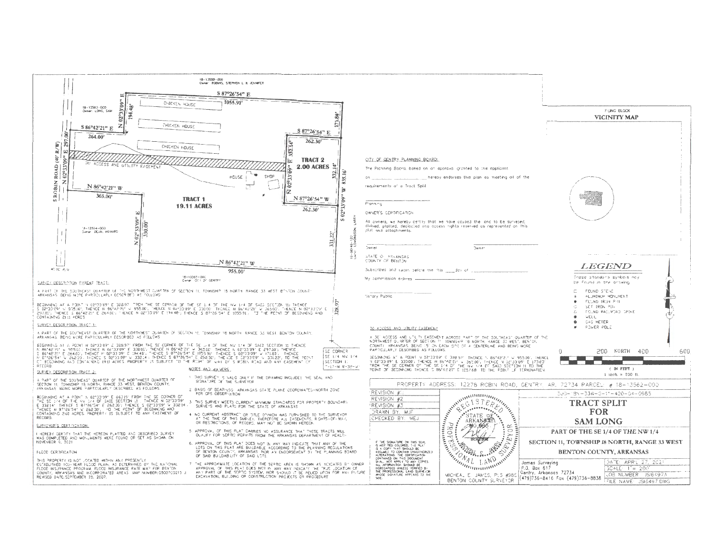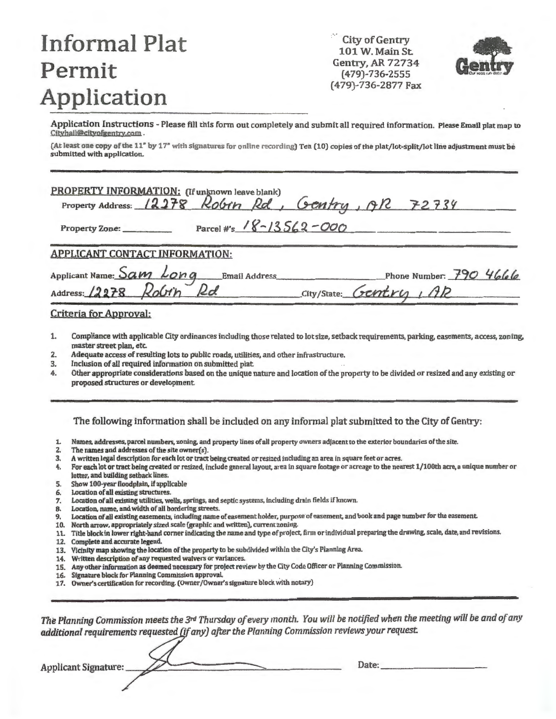# **Informal Plat Permit Application**

City of Gentry 101 W. Main St. Gentry, AR 72734 (479)-736-2555 (479)-736-2877 Fax



Application Instructions - Please fill this form out completely and submit all required information. Please Email plat map to Cityhall@cityofgentry.com.

(At least one copy of the 11" by 17" with signatures for online recording) Ten (10) copies of the plat/lot-split/lot line adjustment must be submitted with application.

| PROPERTY INFORMATION: (If unknown leave blank)<br>Property Address: 12278 Robin Rd, Gentry, 9R 72734 |
|------------------------------------------------------------------------------------------------------|
| Parcel #s $18 - 13562 - 000$<br>Property Zone:                                                       |
| <b>APPLICANT CONTACT INFORMATION:</b>                                                                |
| Applicant Name: Sam Long Email Address<br>Address: 12278 Robin Rd<br>Phone Number: $790$ 4666        |
| City/State: Gentry , AR                                                                              |
| Criteria for Approval:                                                                               |

- 1. Compliance with applicable City ordinances including those related to lot size, setback requirements, parlting. easements, access, zoning, master street plan, etc.
- 2. Adequate access of resulting lots to public roads, utilities, and other infrastructure.
- 3. Inclusion of all required information on submitted plat.<br>4. Other appropriate considerations based on the unique is
- Other appropriate considerations based on the unique nature and location of the property to be divided or resized and any existing or proposed structures or development

The following information shall be included on any informal plat submitted to the City of Gentry:

- 1. Names, addresses, parcel numbers, zoning. and property lines of all property owners adjacent to the exterior boundaries of the site.
- 2. The names and addresses of the site owner(s).
- 3. A written legal description for each lot or tract being created or resized including an area in square feet or acres.
- 4. For each lot or tract being created or resized, include general layout, area in square footage or acreage to the nearest 1/100th acre, a unique number or letter, and building setback lines.
- 5. Show 100-year floodplain, if applicable<br>6. Location of all existing structures.
- 
- 6. Location of all existing structures.<br>7. Location of all existing utilities, we 7. Location of all existing utilities, wells, springs, and septic systems, including drain fields if known.
- 
- 9. Location of all existing easements, including name of easement holder, purpose of easement, and book and page number for the easement.
- 10. North arrow, appropriately sized scale (graphic and written), current zoning.
- 11. Title block in lower right-hand corner indicating the name and type of project, firm or individual preparing the drawing. scale, date, and revisions.
- 12. Complete and accurate legend.
- 13. Vicinity map showing the location of the property to be subdivided within the City's Planning Area
- 14. Written description of any requested waivers or variances.
- 15. Any other information as deemed necessary for project review by the City Code Officer or Planning Commission.
- 16. Signature block for Planning Commission approval .
- 17. Owner's certification for recording. (Owner/Owner's signature block with notary)

The Planning Commission meets the 3<sup>rd</sup> Thursday of every month. You will be notified when the meeting will be and of any additional requirements requested (if any) after the Planning Commission reviews your request.

**Applicant Signature:** 

Date: \_\_\_\_\_\_\_\_\_ \_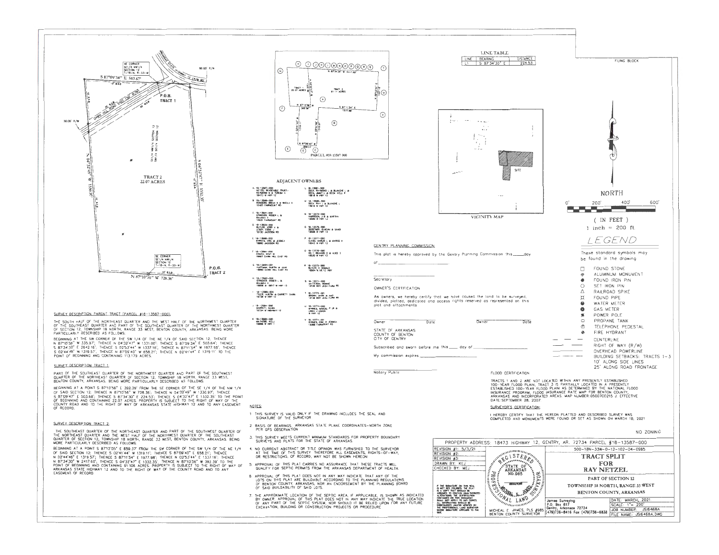

SURVEY DESCRIPTION PARENT, TRACT (PARCEL #18-13587-000);

THE SOUTH HALF OF THE NORTHEAST QUARTER AND THE WEST HALF OF THE NORTHWEST DUAPTER<br>OF THE SOUTHEAST QUARTER AND PART OF THE SOUTHEAST QUARTER OF THE NORTHWEST QUARTER<br>OF SECTION 12, TOMNSHIP 18 NORTH, RANGE 33 WEST, BENTON

**INCOMMUNITY DESCRIPTION ASSAULTS AND ACT THE NE 1/4 OF SAID SECTION 12, THENCE<br>REGINNING AT THE SW CORNER OF THE SW 1/4 OF THE NE 1/4 OF SAID SECTION 12, THENCE<br>S 8734'30" E 2642'16', THENCE S 9253'44" W 1337.16', THENCE** 

#### SURVEY DESCRIPTION TRACT 1:

PART OF THE SOUTHEAST QUARTER OF THE NORTHWEST QUARTER AND PART OF THE SOUTHWEST<br>QUARTER OF THE NORTHEAST QUARTER OF SECTION 12, TOWNSHIP 18 NORTH, RANGE 33 WEST,<br>BENTON COUNTY, ARKANSAS, BEING MORE PARTIGULARLY DESCRIBED

**LETTING CONSTRUCTS AND A SET AN INSTERNATION CONSTRUENT AND A STATE AND STATE AND SET AND SET OF SALE IN A STATE AND SET AND SET AND SET AND SET AND SET AND SET AND SET AND SET AND SET AND SET AND SET AND SET AND SET AND** 

#### SURVEY DESCRIPTION TRACT 2:

THE SOUTHEAST QUARTER OF THE NORTHEAST QUARTER AND PART OF THE SOUTHARST QUARTER.<br>THE NORTHEAST QUARTER AND THE WEST HALF OF THE NORTHWEST QUARTER OF THE SOUTHEAST<br>QUARTER OF SECTION 12, TOWNSHIP 18 NORTH, RANGE 33 WEST, B

BEGINNING AT A POINT S 87'12'05" E 659.37' FROM THE SW CORNER OF THE SW 1/4 OF THE NE 1/4 BELINNING AT A PURM 5 87/2005 E 658/3/ FROM THE SWICKING OF THE SWITZ OF SAID SCIENCE OF SAID SCIENCE AND RELIN<br>OF SAID SCIENCE 13957; THENCE S 02'41'44" W 1319.11", THENCE S 8709'40" E 658.21", THENCE<br>N D2'44"46" E 1319.5 EASEMENT OF RECORD



**ADIACENT OWNERS** 18-13981-000<br>DEEN, RAYNOWD LA BLANCHE LA<br>DEEN, JIMMY LA DEDIKOLUR 15-13087-000<br>NETZEL REVOLABLE TRUST<br>RATMOND G B TURESA A 18-13588-000<br>RODGERS, BRIAN S & SHELA S M 18-13580-000<br>DEEN RAY L & BLANCHE L 10-13601-000<br>Stringker, róger la<br>Dalmoak **M. 18-13579-000**<br>HARRISON, J.B. MARTHA<br>18580 B. HWY 12 18-13602-000<br>BUTLER, JERRI A &<br>LEROY, EDDIE 0. 18-13578-000<br>0ERETHER, GLHENN & SANDY 16-13040-002<br>BYRNES, ERC & JESSICA F 18-13577-000<br>CLEGO, MARLIN L & MARCE A 0.18-13578-000<br>HELT, MICHARD D & AUCE D<br>18530 W HWY 12 16—1300-1-000<br>СОЦСЯ, КЕМТ №<br>10007 ВАШЫ НВІ ЕАВТ №9 18-13804-001<br>HUTTMAN, DUBTN & JAKE<br>18800 DAWN HEL EART RD 1 15-13375-000<br>BUTLER C DOMALD 18-13582-000<br>STROKER, ROGER L B.<br>BALBOA K<br>19806 & 18877 W HWY 12 3. 18-13574-000<br>MATTERON, BONNE<br>THERE REY JEON FARM RD 18-13585-005<br>THLEB, AUSTN ALGARWETT DAMN 18-10772-001<br>ӨМӨНӨ ШААК А АМИ<br>11150 ВҮН КАЧ ГАЙЫ МУ U. 18-10774-000<br>EYRHES, SAHUEL P.JR &<br>LIMDA J LEWON 18-13584-000<br>DARMSTT, DARM<br>18734 W HERMAY 12 K. 18-13582-000 7 18-10774-001<br>BYRNES, ERE & JERSEA<br>19300 CARMARAT RO



I HEREBY CERTIFY THAT THE HEREON PLATTED AND DESCRIBED SURVEY WAS COMPLETED AND MONUMENTS WERE FOUND OR SET AS SHOWN ON MARCH 1B, 2021

NO ZONING

PROPERTY ADDRESS: 18473 HIGHWAY 12, GENTRY, AR. 72734 PARCEL #18-13587-000 REVISION #1: 5/3/21  $500-18N-33W-0-12-102-04-09B5$ REVISION #2 **STERA TRACT SPLIT FOR** DRAWN BY: KE. STATE OF<br>ARKANSAS<br>NO.985 CHECKED BY: **RAY NETZEL PART OF SECTION 12** F THE BUSINESS ON THIS SEAL<br>IS NOT BUT OCCURED, THE FILM AND HOT BUT AND THAT BUT AND HE AND HE AND HE AND HE AND HE CONSIDERED IN THE AND HE CONSIDERED BY A REPORT OF THE ANNOUNCE IN THE STANDARD OF THE STANDARD SEAL IS A TOWNSHIP 18 NORTH, RANGE 33 WEST BENTON COUNTY, ARKANSAS  $\mathcal{N}_{AL-LAMD}$ DATE: MARCH, 2021 James Surveying<br>| P.O. Box 617<br>| Gentry, Arkansas 72734 SCALE: 1"= 200"<br>JOB NUMBER: JSI6468A MICHEAL E. JAMES, PLS #985 Gentry, Arkonsos /4/37<br>RENTON COUNTY SURVEYOR (479)736-8416 Fax (479)736-6838 FILE NAMÉ: JSI6468A.DWG

#### NOTES:

- THIS SURVEY IS VALID ONLY IF THE DRAWING INCLUDES THE SEAL AND<br>SIGNATURE OF THE SURVEYOR.
- 2 BASIS OF BEARINGS ARKANSAS STATE PLANE COORDINATES-NORTH ZONE PER GPS OBSERVATION

Owner

- THIS SURVEY MEETS CURRENT MINIMUM STANDARDS FOR PROPERTY BOUNDARY<br>SURVEYS AND PLATS FOR THE STATE OF ARKANSAS.  $\Lambda$
- 4. NO CURRENT ABSTRACT DR TITLE OPINION WAS FURNISHED TO THE SURVEYOR<br>AT THE TIME OF THIS SURVEY THEREFORE ALL EASEMENTS, RIGHTS-OF-WAY,<br>OR RESTRICTIONS, OF RECORD, MAY NOT BE SHOWN HEREON.
- APPROVAL OF THIS PLAT CARRIES NO ASSURANCE THAT THESE TRACTS WILL AND THE SEPTIC PERMITS FROM THE ARKANSAS DEPARTMENT OF HEALT  $\overline{5}$
- B APPROVAL OF THIS PLAT DOES NOT IN ANY WAY INDICATE THAT ANY OF THE<br>LOTS ON THIS PLAT ARE BUILDABLE ACCORDING TO THE PLANNING REGULATIONS<br>OF BENTON COUNTY, ARKANSAS, NOR AN ENDORSEMENT BY THE PLANNING BOARD<br>OF SAID BUILDA
- 7. THE APPROXIMATE LOCATION OF THE SEPTIC AREA, IF APPLICABLE, IS SHOWN AS INDICATED<br>BY OWNER APPROVAL OF THIS PLAT DOES NOT IN ANY WAY INDICATE THE TRUE LOCATION<br>OF ANY PART OF THE SEPTIC SYSTEM, NOR SHOULD IT BE RELIED U